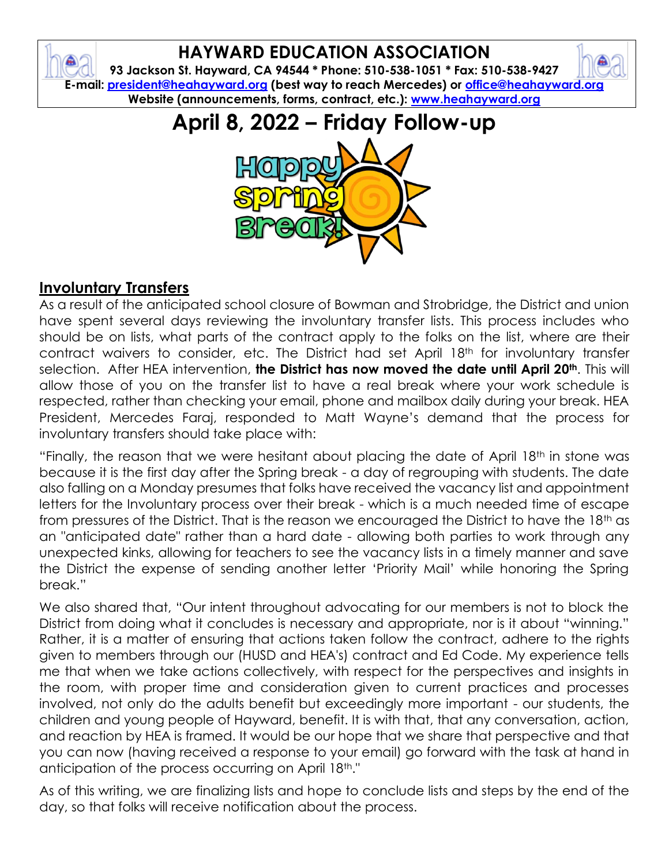# **HAYWARD EDUCATION ASSOCIATION**

**93 Jackson St. Hayward, CA 94544 \* Phone: 510-538-1051 \* Fax: 510-538-9427 E-mail: [president@heahayward.org](mailto:president@heahayward.org) (best way to reach Mercedes) or [office@heahayward.org](mailto:office@heahayward.org) Website (announcements, forms, contract, etc.): [www.heahayward.org](http://www.heahayward.org/)**

# **April 8, 2022 – Friday Follow-up**



#### **Involuntary Transfers**

As a result of the anticipated school closure of Bowman and Strobridge, the District and union have spent several days reviewing the involuntary transfer lists. This process includes who should be on lists, what parts of the contract apply to the folks on the list, where are their contract waivers to consider, etc. The District had set April 18th for involuntary transfer selection. After HEA intervention, **the District has now moved the date until April 20th**. This will allow those of you on the transfer list to have a real break where your work schedule is respected, rather than checking your email, phone and mailbox daily during your break. HEA President, Mercedes Faraj, responded to Matt Wayne's demand that the process for involuntary transfers should take place with:

"Finally, the reason that we were hesitant about placing the date of April 18<sup>th</sup> in stone was because it is the first day after the Spring break - a day of regrouping with students. The date also falling on a Monday presumes that folks have received the vacancy list and appointment letters for the Involuntary process over their break - which is a much needed time of escape from pressures of the District. That is the reason we encouraged the District to have the 18th as an "anticipated date" rather than a hard date - allowing both parties to work through any unexpected kinks, allowing for teachers to see the vacancy lists in a timely manner and save the District the expense of sending another letter 'Priority Mail' while honoring the Spring break."

We also shared that, "Our intent throughout advocating for our members is not to block the District from doing what it concludes is necessary and appropriate, nor is it about "winning." Rather, it is a matter of ensuring that actions taken follow the contract, adhere to the rights given to members through our (HUSD and HEA's) contract and Ed Code. My experience tells me that when we take actions collectively, with respect for the perspectives and insights in the room, with proper time and consideration given to current practices and processes involved, not only do the adults benefit but exceedingly more important - our students, the children and young people of Hayward, benefit. It is with that, that any conversation, action, and reaction by HEA is framed. It would be our hope that we share that perspective and that you can now (having received a response to your email) go forward with the task at hand in anticipation of the process occurring on April 18th."

As of this writing, we are finalizing lists and hope to conclude lists and steps by the end of the day, so that folks will receive notification about the process.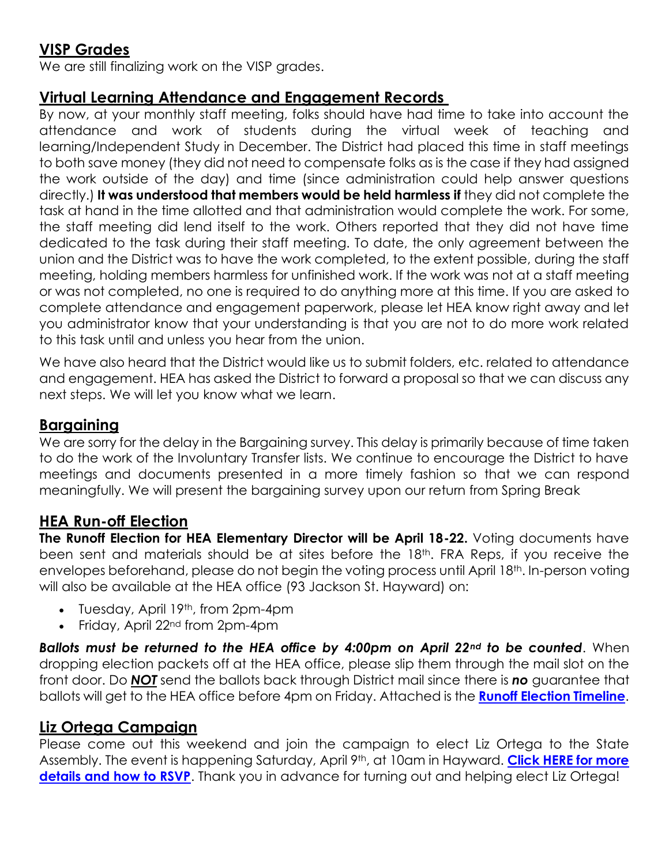## **VISP Grades**

We are still finalizing work on the VISP grades.

#### **Virtual Learning Attendance and Engagement Records**

By now, at your monthly staff meeting, folks should have had time to take into account the attendance and work of students during the virtual week of teaching and learning/Independent Study in December. The District had placed this time in staff meetings to both save money (they did not need to compensate folks as is the case if they had assigned the work outside of the day) and time (since administration could help answer questions directly.) **It was understood that members would be held harmless if** they did not complete the task at hand in the time allotted and that administration would complete the work. For some, the staff meeting did lend itself to the work. Others reported that they did not have time dedicated to the task during their staff meeting. To date, the only agreement between the union and the District was to have the work completed, to the extent possible, during the staff meeting, holding members harmless for unfinished work. If the work was not at a staff meeting or was not completed, no one is required to do anything more at this time. If you are asked to complete attendance and engagement paperwork, please let HEA know right away and let you administrator know that your understanding is that you are not to do more work related to this task until and unless you hear from the union.

We have also heard that the District would like us to submit folders, etc. related to attendance and engagement. HEA has asked the District to forward a proposal so that we can discuss any next steps. We will let you know what we learn.

#### **Bargaining**

We are sorry for the delay in the Bargaining survey. This delay is primarily because of time taken to do the work of the Involuntary Transfer lists. We continue to encourage the District to have meetings and documents presented in a more timely fashion so that we can respond meaningfully. We will present the bargaining survey upon our return from Spring Break

#### **HEA Run-off Election**

**The Runoff Election for HEA Elementary Director will be April 18-22.** Voting documents have been sent and materials should be at sites before the 18<sup>th</sup>. FRA Reps, if you receive the envelopes beforehand, please do not begin the voting process until April 18<sup>th</sup>. In-person voting will also be available at the HEA office (93 Jackson St. Hayward) on:

- Tuesday, April 19<sup>th</sup>, from 2pm-4pm
- Friday, April 22nd from 2pm-4pm

*Ballots must be returned to the HEA office by 4:00pm on April 22nd to be counted*. When dropping election packets off at the HEA office, please slip them through the mail slot on the front door. Do *NOT* send the ballots back through District mail since there is *no* guarantee that ballots will get to the HEA office before 4pm on Friday. Attached is the **[Runoff Election Timeline](https://drive.google.com/file/d/1VcXgkK1FdvK0kbUUIwBAMBxyeZTGQFpJ/view?usp=sharing)**.

#### **Liz Ortega Campaign**

Please come out this weekend and join the campaign to elect Liz Ortega to the State Assembly. The event is happening Saturday, April 9th, at 10am in Hayward. **[Click HERE for more](https://docs.google.com/document/d/1J1mr8FoX2sFtG-z_Wbv--PR3mGAk7h9o/edit?usp=sharing&ouid=106387318619838498065&rtpof=true&sd=true)  [details and how to RSVP](https://docs.google.com/document/d/1J1mr8FoX2sFtG-z_Wbv--PR3mGAk7h9o/edit?usp=sharing&ouid=106387318619838498065&rtpof=true&sd=true)**. Thank you in advance for turning out and helping elect Liz Ortega!